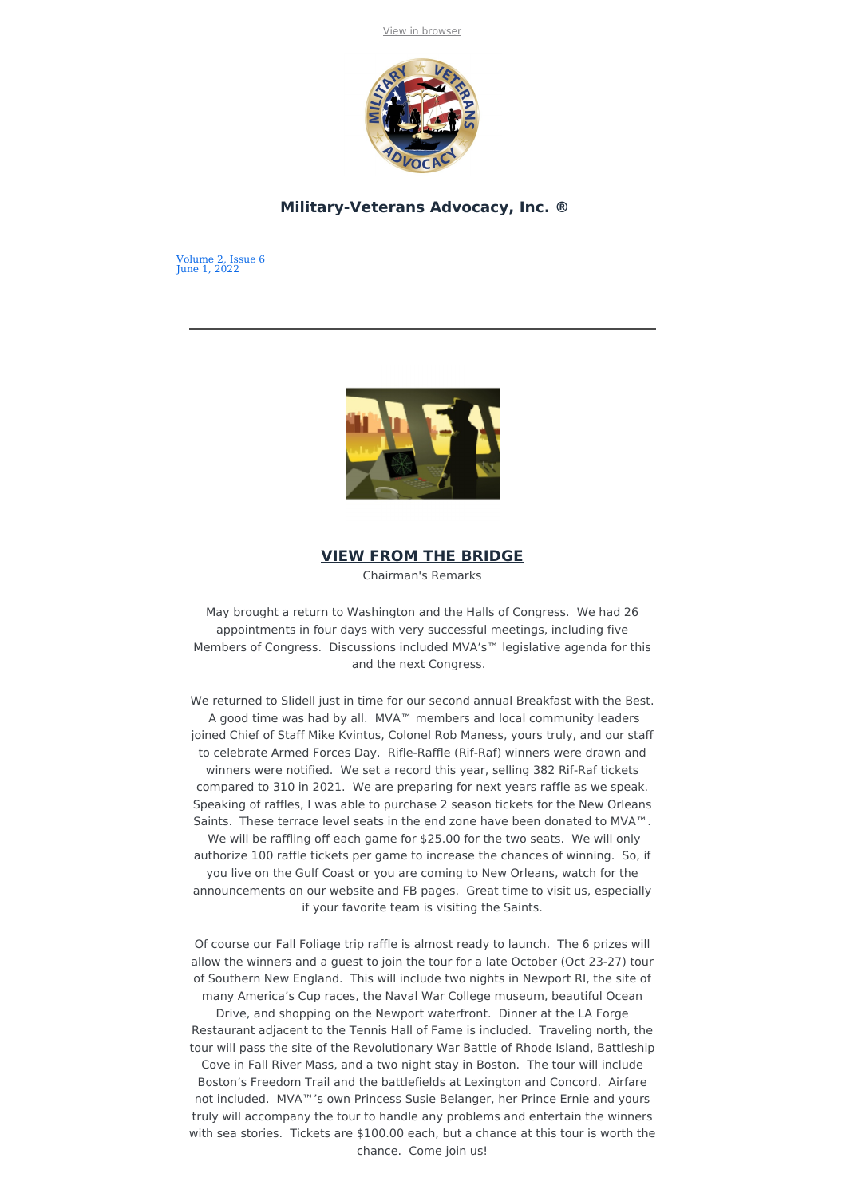

## **Military-Veterans Advocacy, Inc. ®**

Volume 2, Issue 6 June 1, 2022



# **VIEW FROM THE BRIDGE**

Chairman's Remarks

May brought a return to Washington and the Halls of Congress. We had 26 appointments in four days with very successful meetings, including five Members of Congress. Discussions included MVA's™ legislative agenda for this and the next Congress.

We returned to Slidell just in time for our second annual Breakfast with the Best. A good time was had by all. MVA™ members and local community leaders joined Chief of Staff Mike Kvintus, Colonel Rob Maness, yours truly, and our staff to celebrate Armed Forces Day. Rifle-Raffle (Rif-Raf) winners were drawn and winners were notified. We set a record this year, selling 382 Rif-Raf tickets compared to 310 in 2021. We are preparing for next years raffle as we speak. Speaking of raffles, I was able to purchase 2 season tickets for the New Orleans Saints. These terrace level seats in the end zone have been donated to MVA™. We will be raffling off each game for \$25.00 for the two seats. We will only authorize 100 raffle tickets per game to increase the chances of winning. So, if you live on the Gulf Coast or you are coming to New Orleans, watch for the announcements on our website and FB pages. Great time to visit us, especially if your favorite team is visiting the Saints.

Of course our Fall Foliage trip raffle is almost ready to launch. The 6 prizes will allow the winners and a guest to join the tour for a late October (Oct 23-27) tour of Southern New England. This will include two nights in Newport RI, the site of many America's Cup races, the Naval War College museum, beautiful Ocean

Drive, and shopping on the Newport waterfront. Dinner at the LA Forge Restaurant adjacent to the Tennis Hall of Fame is included. Traveling north, the tour will pass the site of the Revolutionary War Battle of Rhode Island, Battleship

Cove in Fall River Mass, and a two night stay in Boston. The tour will include Boston's Freedom Trail and the battlefields at Lexington and Concord. Airfare not included. MVA™'s own Princess Susie Belanger, her Prince Ernie and yours truly will accompany the tour to handle any problems and entertain the winners with sea stories. Tickets are \$100.00 each, but a chance at this tour is worth the chance. Come join us!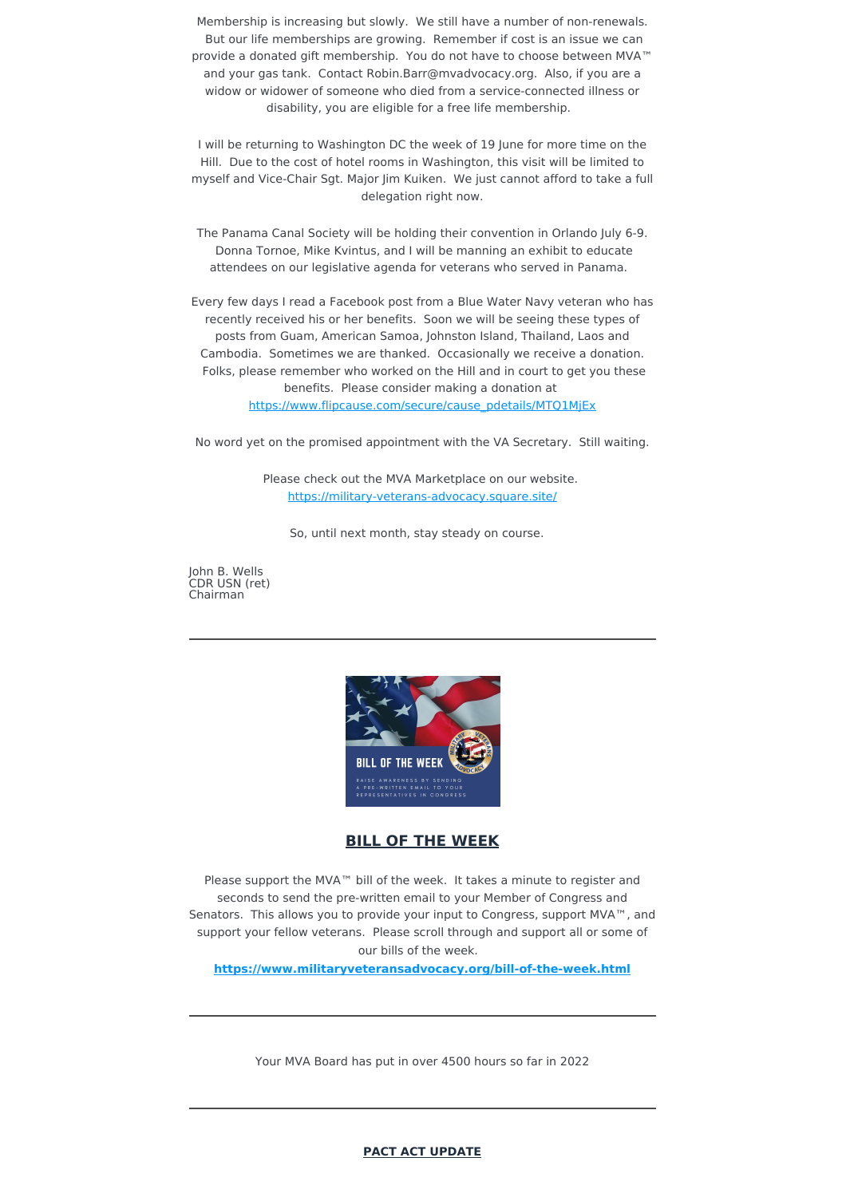Membership is increasing but slowly. We still have a number of non-renewals. But our life memberships are growing. Remember if cost is an issue we can provide a donated gift membership. You do not have to choose between MVA™ and your gas tank. Contact Robin.Barr@mvadvocacy.org. Also, if you are a widow or widower of someone who died from a service-connected illness or disability, you are eligible for a free life membership.

I will be returning to Washington DC the week of 19 June for more time on the Hill. Due to the cost of hotel rooms in Washington, this visit will be limited to myself and Vice-Chair Sgt. Major Jim Kuiken. We just cannot afford to take a full delegation right now.

The Panama Canal Society will be holding their convention in Orlando July 6-9. Donna Tornoe, Mike Kvintus, and I will be manning an exhibit to educate attendees on our legislative agenda for veterans who served in Panama.

Every few days I read a Facebook post from a Blue Water Navy veteran who has recently received his or her benefits. Soon we will be seeing these types of posts from Guam, American Samoa, Johnston Island, Thailand, Laos and Cambodia. Sometimes we are thanked. Occasionally we receive a donation. Folks, please remember who worked on the Hill and in court to get you these benefits. Please consider making a donation at [https://www.flipcause.com/secure/cause\\_pdetails/MTQ1MjEx](https://www.flipcause.com/secure/cause_pdetails/MTQ1MjEx)

No word yet on the promised appointment with the VA Secretary. Still waiting.

Please check out the MVA Marketplace on our website. <https://military-veterans-advocacy.square.site/>

So, until next month, stay steady on course.

John B. Wells CDR USN (ret) Chairman



**BILL OF THE WEEK**

Please support the MVA™ bill of the week. It takes a minute to register and seconds to send the pre-written email to your Member of Congress and Senators. This allows you to provide your input to Congress, support MVA<sup>™</sup>, and support your fellow veterans. Please scroll through and support all or some of our bills of the week.

**<https://www.militaryveteransadvocacy.org/bill-of-the-week.html>**

Your MVA Board has put in over 4500 hours so far in 2022

**PACT ACT UPDATE**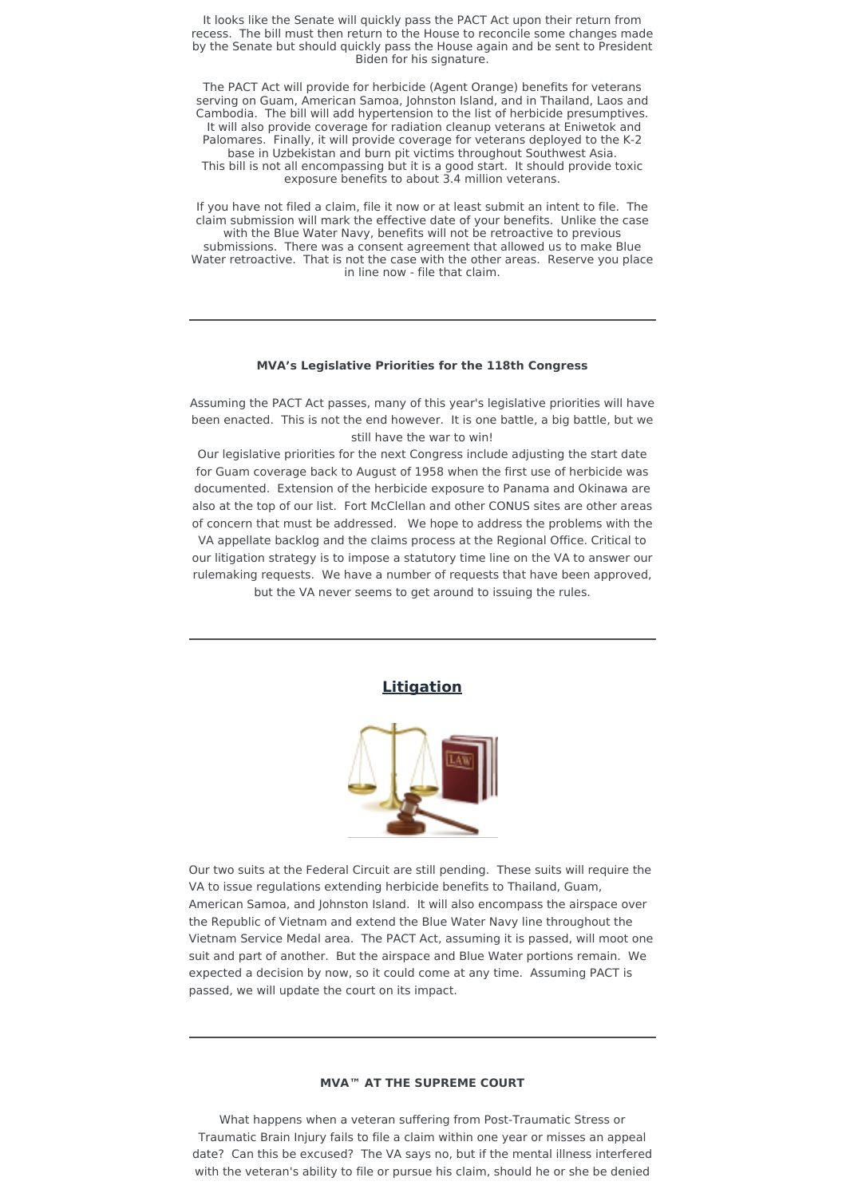It looks like the Senate will quickly pass the PACT Act upon their return from recess. The bill must then return to the House to reconcile some changes made by the Senate but should quickly pass the House again and be sent to President Biden for his signature.

The PACT Act will provide for herbicide (Agent Orange) benefits for veterans serving on Guam, American Samoa, Johnston Island, and in Thailand, Laos and Cambodia. The bill will add hypertension to the list of herbicide presumptives. It will also provide coverage for radiation cleanup veterans at Eniwetok and Palomares. Finally, it will provide coverage for veterans deployed to the K-2 base in Uzbekistan and burn pit victims throughout Southwest Asia. This bill is not all encompassing but it is a good start. It should provide toxic exposure benefits to about 3.4 million veterans.

If you have not filed a claim, file it now or at least submit an intent to file. The claim submission will mark the effective date of your benefits. Unlike the case with the Blue Water Navy, benefits will not be retroactive to previous submissions. There was a consent agreement that allowed us to make Blue Water retroactive. That is not the case with the other areas. Reserve you place in line now - file that claim.

#### **MVA's Legislative Priorities for the 118th Congress**

Assuming the PACT Act passes, many of this year's legislative priorities will have been enacted. This is not the end however. It is one battle, a big battle, but we still have the war to win!

Our legislative priorities for the next Congress include adjusting the start date for Guam coverage back to August of 1958 when the first use of herbicide was documented. Extension of the herbicide exposure to Panama and Okinawa are also at the top of our list. Fort McClellan and other CONUS sites are other areas of concern that must be addressed. We hope to address the problems with the VA appellate backlog and the claims process at the Regional Office. Critical to our litigation strategy is to impose a statutory time line on the VA to answer our rulemaking requests. We have a number of requests that have been approved, but the VA never seems to get around to issuing the rules.

### **Litigation**



Our two suits at the Federal Circuit are still pending. These suits will require the VA to issue regulations extending herbicide benefits to Thailand, Guam, American Samoa, and Johnston Island. It will also encompass the airspace over the Republic of Vietnam and extend the Blue Water Navy line throughout the Vietnam Service Medal area. The PACT Act, assuming it is passed, will moot one suit and part of another. But the airspace and Blue Water portions remain. We expected a decision by now, so it could come at any time. Assuming PACT is passed, we will update the court on its impact.

## **MVA™ AT THE SUPREME COURT**

What happens when a veteran suffering from Post-Traumatic Stress or Traumatic Brain Injury fails to file a claim within one year or misses an appeal date? Can this be excused? The VA says no, but if the mental illness interfered with the veteran's ability to file or pursue his claim, should he or she be denied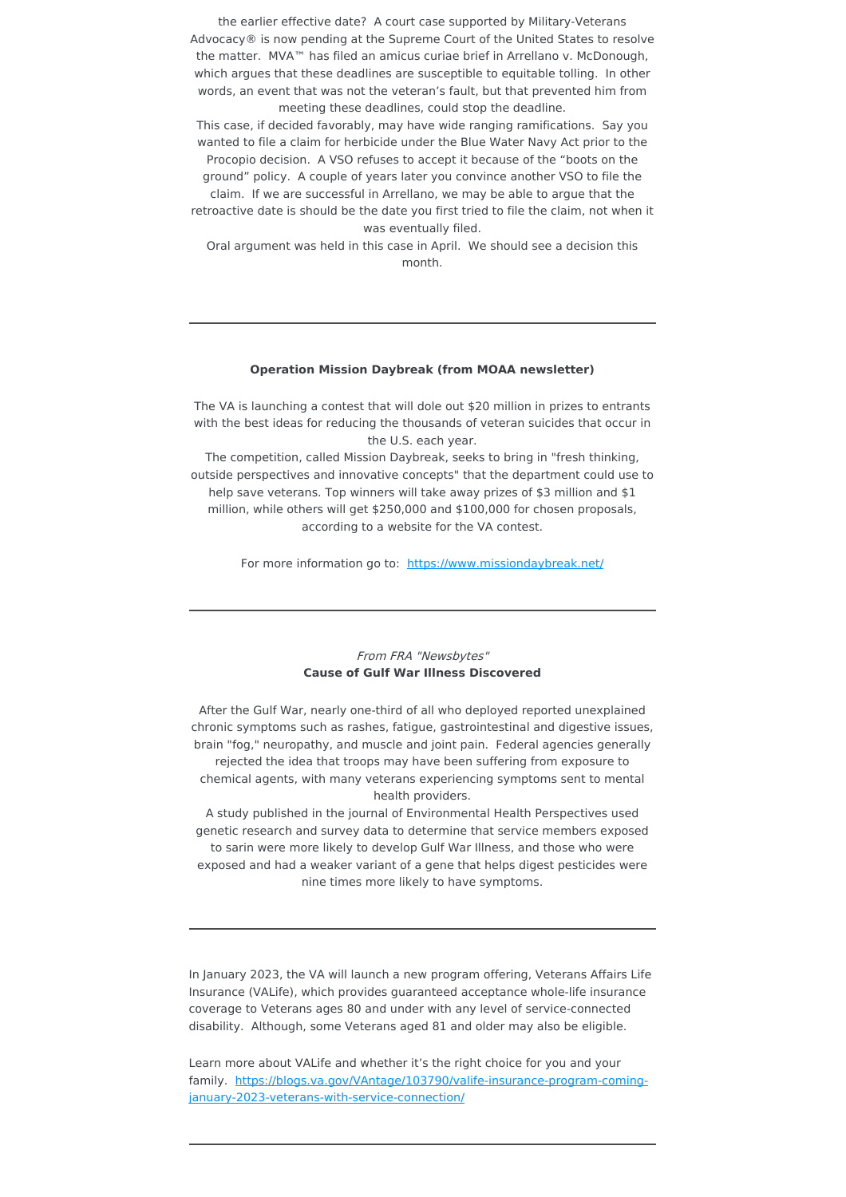the earlier effective date? A court case supported by Military-Veterans Advocacy® is now pending at the Supreme Court of the United States to resolve the matter. MVA™ has filed an amicus curiae brief in Arrellano v. McDonough, which argues that these deadlines are susceptible to equitable tolling. In other words, an event that was not the veteran's fault, but that prevented him from meeting these deadlines, could stop the deadline.

This case, if decided favorably, may have wide ranging ramifications. Say you wanted to file a claim for herbicide under the Blue Water Navy Act prior to the Procopio decision. A VSO refuses to accept it because of the "boots on the ground" policy. A couple of years later you convince another VSO to file the claim. If we are successful in Arrellano, we may be able to argue that the

retroactive date is should be the date you first tried to file the claim, not when it was eventually filed.

Oral argument was held in this case in April. We should see a decision this month.

### **Operation Mission Daybreak (from MOAA newsletter)**

The VA is launching a contest that will dole out \$20 million in prizes to entrants with the best ideas for reducing the thousands of veteran suicides that occur in the U.S. each year.

The competition, called Mission Daybreak, seeks to bring in "fresh thinking, outside perspectives and innovative concepts" that the department could use to help save veterans. Top winners will take away prizes of \$3 million and \$1 million, while others will get \$250,000 and \$100,000 for chosen proposals, according to a website for the VA contest.

For more information go to: <https://www.missiondaybreak.net/>

## From FRA "Newsbytes" **Cause of Gulf War Illness Discovered**

After the Gulf War, nearly one-third of all who deployed reported unexplained chronic symptoms such as rashes, fatigue, gastrointestinal and digestive issues, brain "fog," neuropathy, and muscle and joint pain. Federal agencies generally rejected the idea that troops may have been suffering from exposure to chemical agents, with many veterans experiencing symptoms sent to mental health providers.

A study published in the journal of Environmental Health Perspectives used genetic research and survey data to determine that service members exposed to sarin were more likely to develop Gulf War Illness, and those who were exposed and had a weaker variant of a gene that helps digest pesticides were nine times more likely to have symptoms.

In January 2023, the VA will launch a new program offering, Veterans Affairs Life Insurance (VALife), which provides guaranteed acceptance whole-life insurance coverage to Veterans ages 80 and under with any level of service-connected disability. Although, some Veterans aged 81 and older may also be eligible.

Learn more about VALife and whether it's the right choice for you and your family. [https://blogs.va.gov/VAntage/103790/valife-insurance-program-coming](https://blogs.va.gov/VAntage/103790/valife-insurance-program-coming-january-2023-veterans-with-service-connection/)january-2023-veterans-with-service-connection/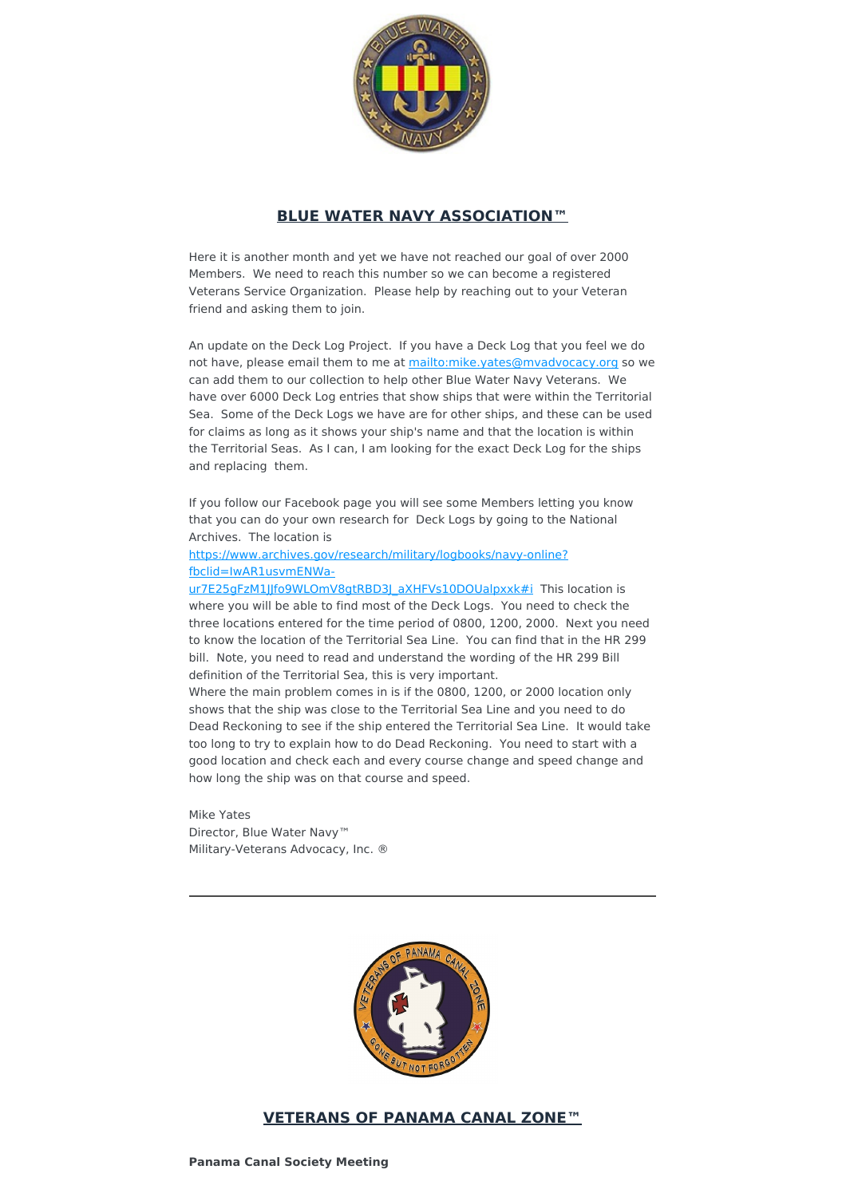

# **BLUE WATER NAVY ASSOCIATION™**

Here it is another month and yet we have not reached our goal of over 2000 Members. We need to reach this number so we can become a registered Veterans Service Organization. Please help by reaching out to your Veteran friend and asking them to join.

An update on the Deck Log Project. If you have a Deck Log that you feel we do not have, please email them to me at <mailto:mike.yates@mvadvocacy.org> so we can add them to our collection to help other Blue Water Navy Veterans. We have over 6000 Deck Log entries that show ships that were within the Territorial Sea. Some of the Deck Logs we have are for other ships, and these can be used for claims as long as it shows your ship's name and that the location is within the Territorial Seas. As I can, I am looking for the exact Deck Log for the ships and replacing them.

If you follow our Facebook page you will see some Members letting you know that you can do your own research for Deck Logs by going to the National Archives. The location is

## [https://www.archives.gov/research/military/logbooks/navy-online?](https://www.archives.gov/research/military/logbooks/navy-online?fbclid=IwAR1usvmENWa-ur7E25gFzM1JJfo9WLOmV8gtRBD3J_aXHFVs10DOUalpxxk#i) fbclid=IwAR1usvmENWa-

ur7E25gFzM1JJfo9WLOmV8gtRBD3J\_aXHFVs10DOUalpxxk#i This location is where you will be able to find most of the Deck Logs. You need to check the three locations entered for the time period of 0800, 1200, 2000. Next you need to know the location of the Territorial Sea Line. You can find that in the HR 299 bill. Note, you need to read and understand the wording of the HR 299 Bill definition of the Territorial Sea, this is very important.

Where the main problem comes in is if the 0800, 1200, or 2000 location only shows that the ship was close to the Territorial Sea Line and you need to do Dead Reckoning to see if the ship entered the Territorial Sea Line. It would take too long to try to explain how to do Dead Reckoning. You need to start with a good location and check each and every course change and speed change and how long the ship was on that course and speed.

Mike Yates Director, Blue Water Navy™ Military-Veterans Advocacy, Inc. ®



# **VETERANS OF PANAMA CANAL ZONE™**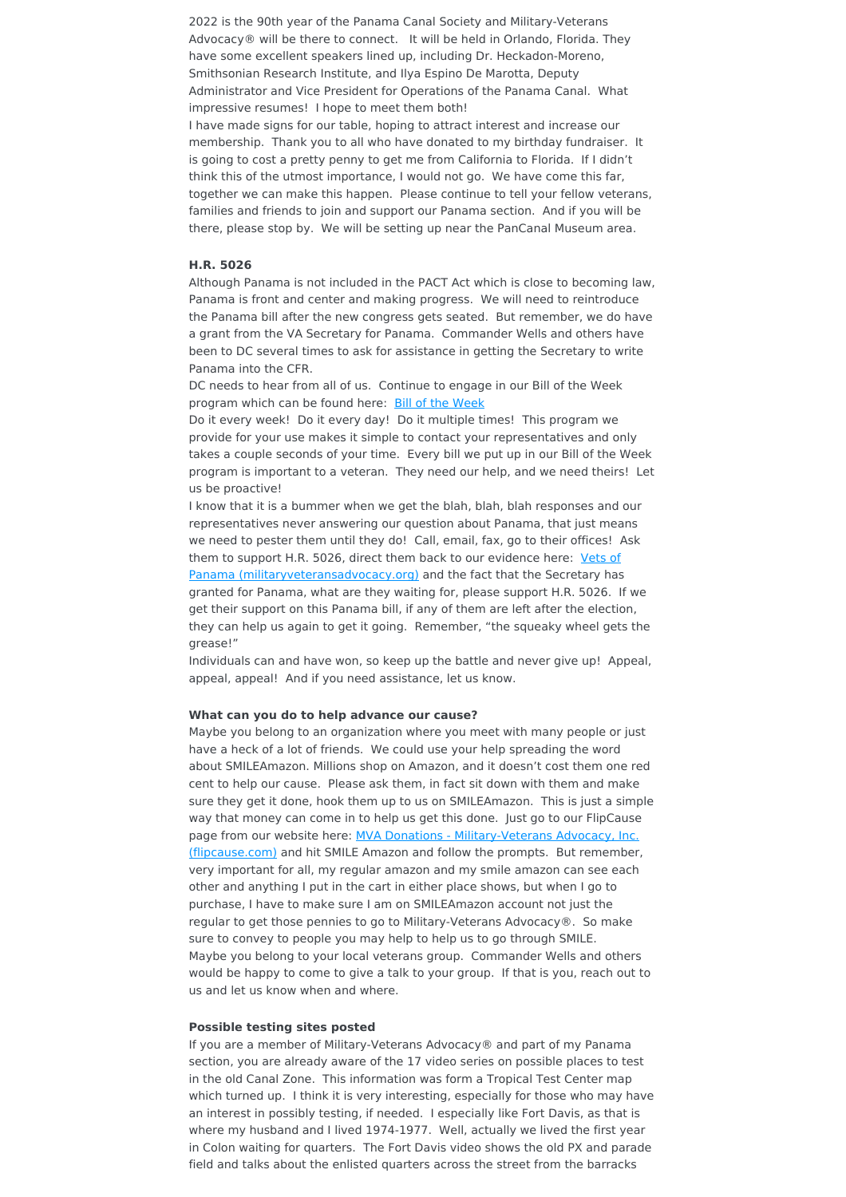2022 is the 90th year of the Panama Canal Society and Military-Veterans Advocacy® will be there to connect. It will be held in Orlando, Florida. They have some excellent speakers lined up, including Dr. Heckadon-Moreno, Smithsonian Research Institute, and Ilya Espino De Marotta, Deputy Administrator and Vice President for Operations of the Panama Canal. What impressive resumes! I hope to meet them both!

I have made signs for our table, hoping to attract interest and increase our membership. Thank you to all who have donated to my birthday fundraiser. It is going to cost a pretty penny to get me from California to Florida. If I didn't think this of the utmost importance, I would not go. We have come this far, together we can make this happen. Please continue to tell your fellow veterans, families and friends to join and support our Panama section. And if you will be there, please stop by. We will be setting up near the PanCanal Museum area.

#### **H.R. 5026**

Although Panama is not included in the PACT Act which is close to becoming law, Panama is front and center and making progress. We will need to reintroduce the Panama bill after the new congress gets seated. But remember, we do have a grant from the VA Secretary for Panama. Commander Wells and others have been to DC several times to ask for assistance in getting the Secretary to write Panama into the CFR.

DC needs to hear from all of us. Continue to engage in our Bill of the Week program which can be found here: Bill of the [Week](https://www.militaryveteransadvocacy.org/bill-of-the-week.html)

Do it every week! Do it every day! Do it multiple times! This program we provide for your use makes it simple to contact your representatives and only takes a couple seconds of your time. Every bill we put up in our Bill of the Week program is important to a veteran. They need our help, and we need theirs! Let us be proactive!

I know that it is a bummer when we get the blah, blah, blah responses and our representatives never answering our question about Panama, that just means we need to pester them until they do! Call, email, fax, go to their offices! Ask them to support H.R. 5026, direct them back to our evidence here: Vets of Panama [\(militaryveteransadvocacy.org\)](https://www.militaryveteransadvocacy.org/vets-of-panama.html) and the fact that the Secretary has granted for Panama, what are they waiting for, please support H.R. 5026. If we get their support on this Panama bill, if any of them are left after the election, they can help us again to get it going. Remember, "the squeaky wheel gets the grease!"

Individuals can and have won, so keep up the battle and never give up! Appeal, appeal, appeal! And if you need assistance, let us know.

### **What can you do to help advance our cause?**

Maybe you belong to an organization where you meet with many people or just have a heck of a lot of friends. We could use your help spreading the word about SMILEAmazon. Millions shop on Amazon, and it doesn't cost them one red cent to help our cause. Please ask them, in fact sit down with them and make sure they get it done, hook them up to us on SMILEAmazon. This is just a simple way that money can come in to help us get this done. Just go to our FlipCause page from our website here: MVA Donations - [Military-Veterans](https://www.flipcause.com/secure/cause_pdetails/MTQ1MjEx) Advocacy, Inc. (flipcause.com) and hit SMILE Amazon and follow the prompts. But remember, very important for all, my regular amazon and my smile amazon can see each other and anything I put in the cart in either place shows, but when I go to purchase, I have to make sure I am on SMILEAmazon account not just the regular to get those pennies to go to Military-Veterans Advocacy®. So make sure to convey to people you may help to help us to go through SMILE. Maybe you belong to your local veterans group. Commander Wells and others would be happy to come to give a talk to your group. If that is you, reach out to us and let us know when and where.

#### **Possible testing sites posted**

If you are a member of Military-Veterans Advocacy® and part of my Panama section, you are already aware of the 17 video series on possible places to test in the old Canal Zone. This information was form a Tropical Test Center map which turned up. I think it is very interesting, especially for those who may have an interest in possibly testing, if needed. I especially like Fort Davis, as that is where my husband and I lived 1974-1977. Well, actually we lived the first year in Colon waiting for quarters. The Fort Davis video shows the old PX and parade field and talks about the enlisted quarters across the street from the barracks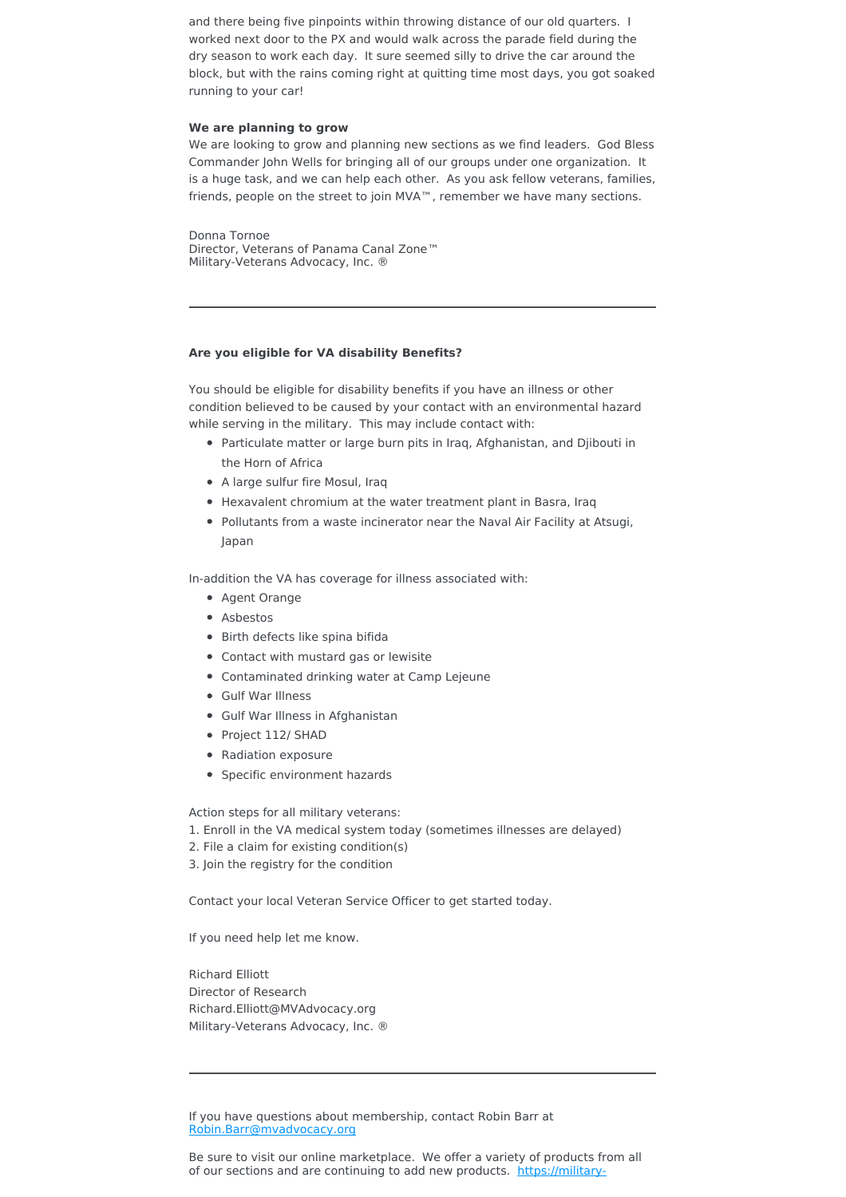and there being five pinpoints within throwing distance of our old quarters. I worked next door to the PX and would walk across the parade field during the dry season to work each day. It sure seemed silly to drive the car around the block, but with the rains coming right at quitting time most days, you got soaked running to your car!

#### **We are planning to grow**

We are looking to grow and planning new sections as we find leaders. God Bless Commander John Wells for bringing all of our groups under one organization. It is a huge task, and we can help each other. As you ask fellow veterans, families, friends, people on the street to join MVA™, remember we have many sections.

Donna Tornoe Director, Veterans of Panama Canal Zone™ Military-Veterans Advocacy, Inc. ®

### **Are you eligible for VA disability Benefits?**

You should be eligible for disability benefits if you have an illness or other condition believed to be caused by your contact with an environmental hazard while serving in the military. This may include contact with:

- Particulate matter or large burn pits in Iraq, Afghanistan, and Djibouti in the Horn of Africa
- A large sulfur fire Mosul, Iraq
- Hexavalent chromium at the water treatment plant in Basra, Iraq
- Pollutants from a waste incinerator near the Naval Air Facility at Atsugi, Japan

In-addition the VA has coverage for illness associated with:

- Agent Orange
- Asbestos
- Birth defects like spina bifida
- Contact with mustard gas or lewisite
- Contaminated drinking water at Camp Lejeune
- Gulf War Illness
- Gulf War Illness in Afghanistan
- Project 112/ SHAD
- Radiation exposure
- Specific environment hazards

Action steps for all military veterans:

- 1. Enroll in the VA medical system today (sometimes illnesses are delayed)
- 2. File a claim for existing condition(s)
- 3. Join the registry for the condition

Contact your local Veteran Service Officer to get started today.

If you need help let me know.

Richard Elliott Director of Research Richard.Elliott@MVAdvocacy.org Military-Veterans Advocacy, Inc. ®

If you have questions about membership, contact Robin Barr at [Robin.Barr@mvadvocacy.org](mailto:robin.barr@mvadvocacy.org?subject=Membership)

Be sure to visit our online marketplace. We offer a variety of products from all of our sections and are continuing to add new products. [https://military-](https://military-veterans-advocacy.square.site/)